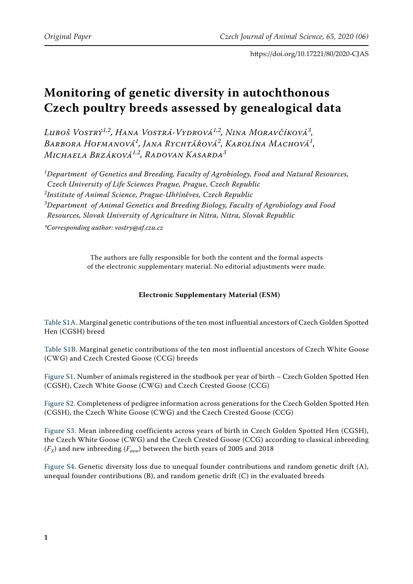https://doi.org/10.17221/80/2020-CJAS

## **Monitoring of genetic diversity in autochthonous Czech poultry breeds assessed by genealogical data**

*Luboš Vostrý1,2, Hana Vostrá-Vydrová1,2, Nina Moravčíková3 , Barbora Hofmanová<sup>1</sup> , Jana Rychtářová<sup>2</sup> , Karolína Machová<sup>1</sup> , Michaela Brzáková1,2, Radovan Kasarda3*

*1 Department of Genetics and Breeding, Faculty of Agrobiology, Food and Natural Resources, Czech University of Life Sciences Prague, Prague, Czech Republic 2 Institute of Animal Science, Prague-Uhříněves, Czech Republic 3 Department of Animal Genetics and Breeding Biology, Faculty of Agrobiology and Food Resources, Slovak University of Agriculture in Nitra, Nitra, Slovak Republic*

*\*Corresponding author: vostry@af.czu.cz*

The authors are fully responsible for both the content and the formal aspects of the electronic supplementary material. No editorial adjustments were made.

## **Electronic Supplementary Material (ESM)**

[Table S1A.](#page-1-0) Marginal genetic contributions of the ten most influential ancestors of Czech Golden Spotted Hen (CGSH) breed

[Table S1B](#page-1-1). Marginal genetic contributions of the ten most influential ancestors of Czech White Goose (CWG) and Czech Crested Goose (CCG) breeds

[Figure S1](#page-1-2). Number of animals registered in the studbook per year of birth – Czech Golden Spotted Hen (CGSH), Czech White Goose (CWG) and Czech Crested Goose (CCG)

[Figure S2](#page-1-3). Completeness of pedigree information across generations for the Czech Golden Spotted Hen (CGSH), the Czech White Goose (CWG) and the Czech Crested Goose (CCG)

[Figure S3](#page-2-0). Mean inbreeding coefficients across years of birth in Czech Golden Spotted Hen (CGSH), the Czech White Goose (CWG) and the Czech Crested Goose (CCG) according to classical inbreeding  $(F_X)$  and new inbreeding  $(F_{new})$  between the birth years of 2005 and 2018

[Figure S4](#page-3-0). Genetic diversity loss due to unequal founder contributions and random genetic drift (A), unequal founder contributions  $(B)$ , and random genetic drift  $(C)$  in the evaluated breeds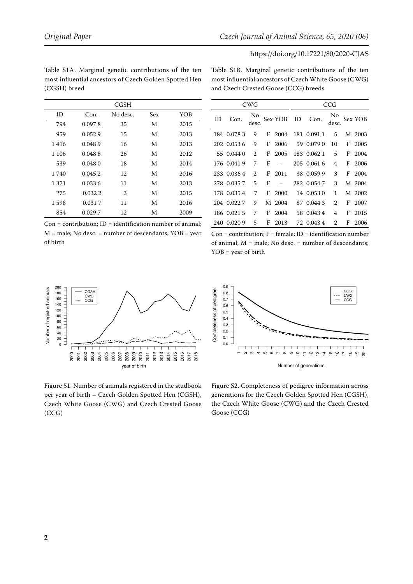of birth

## https://doi.org/10.17221/80/2020-CJAS

|         |         | <b>CGSH</b> |     |      |
|---------|---------|-------------|-----|------|
| ID      | Con.    | No desc.    | Sex | YOB  |
| 794     | 0.0978  | 35          | M   | 2015 |
| 959     | 0.0529  | 15          | M   | 2013 |
| 1416    | 0.0489  | 16          | M   | 2013 |
| 1 1 0 6 | 0.0488  | 26          | M   | 2012 |
| 539     | 0.0480  | 18          | M   | 2014 |
| 1 740   | 0.0452  | 12          | M   | 2016 |
| 1 371   | 0.0336  | 11          | M   | 2013 |
| 275     | 0.032.2 | 3           | M   | 2015 |
| 1598    | 0.0317  | 11          | M   | 2016 |
| 854     | 0.0297  | 12          | M   | 2009 |

 $Con =$  contribution;  $ID =$  identification number of animal;  $M = male$ ; No desc. = number of descendants; YOB = year

<span id="page-1-0"></span>Table S1A. Marginal genetic contributions of the ten most influential ancestors of Czech Golden Spotted Hen (CGSH) breed

<span id="page-1-1"></span>Table S1B. Marginal genetic contributions of the ten most influential ancestors of Czech White Goose (CWG) and Czech Crested Goose (CCG) breeds

CWG CCG

 0.078 3 9 F 2004 181 0.091 1 5 M 2003 0.053 6 9 F 2006 59 0.079 0 10 F 2005 0.044 0 2 F 2005 183 0.062 1 5 F 2004 0.041 9 7 F − 205 0.061 6 4 F 2006 0.036 4 2 F 2011 38 0.059 9 3 F 2004 278 0.035 7 5 F − 282 0.054 7 3 M 2004 0.035 4 7 F 2000 14 0.053 0 1 M 2002 204 0.022 7 9 M 2004 87 0.044 3 2 F 2007 0.021 5 7 F 2004 58 0.043 4 4 F 2015 0.020 9 5 F 2013 72 0.043 4 2 F 2006

Sex YOB ID Con.  $\frac{No}{desc}$ .

Sex YOB

ID Con. No<br>desc.

| $Con = contribution: F = female: ID = identification number$ |
|--------------------------------------------------------------|
| of animal; $M = male$ ; No desc. $=$ number of descendants;  |
| $YOB = year of birth$                                        |

<span id="page-1-2"></span>

Figure S1. Number of animals registered in the studbook per year of birth – Czech Golden Spotted Hen (CGSH), Czech White Goose (CWG) and Czech Crested Goose (CCG)

<span id="page-1-3"></span>

Figure S2. Completeness of pedigree information across generations for the Czech Golden Spotted Hen (CGSH), the Czech White Goose (CWG) and the Czech Crested Goose (CCG)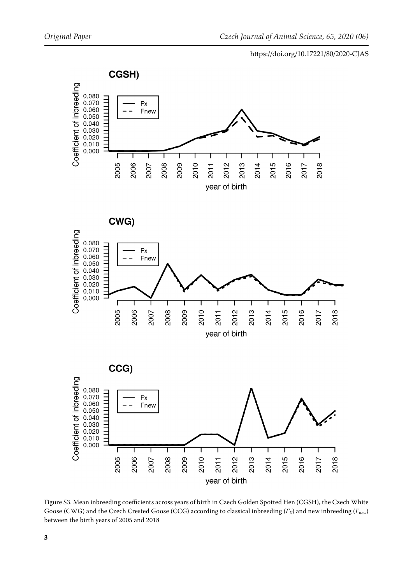## https://doi.org/10.17221/80/2020-CJAS

<span id="page-2-0"></span>

Figure S3. Mean inbreeding coefficients across years of birth in Czech Golden Spotted Hen (CGSH), the Czech White Goose (CWG) and the Czech Crested Goose (CCG) according to classical inbreeding ( $F_X$ ) and new inbreeding ( $F_{new}$ ) between the birth years of 2005 and 2018